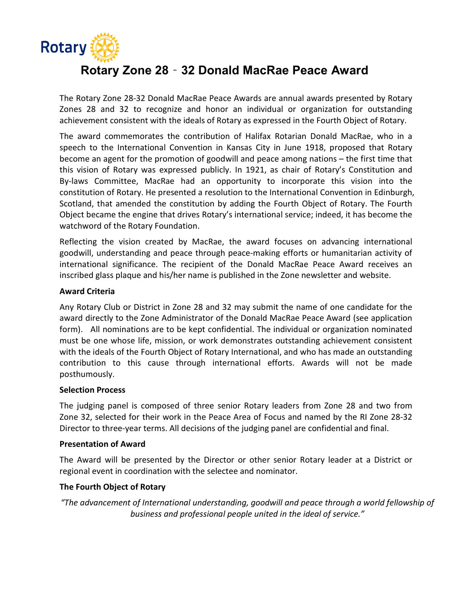

# Rotary Zone 28‐32 Donald MacRae Peace Award

The Rotary Zone 28‐32 Donald MacRae Peace Awards are annual awards presented by Rotary Zones 28 and 32 to recognize and honor an individual or organization for outstanding achievement consistent with the ideals of Rotary as expressed in the Fourth Object of Rotary.

The award commemorates the contribution of Halifax Rotarian Donald MacRae, who in a speech to the International Convention in Kansas City in June 1918, proposed that Rotary become an agent for the promotion of goodwill and peace among nations – the first time that this vision of Rotary was expressed publicly. In 1921, as chair of Rotary's Constitution and By-laws Committee, MacRae had an opportunity to incorporate this vision into the constitution of Rotary. He presented a resolution to the International Convention in Edinburgh, Scotland, that amended the constitution by adding the Fourth Object of Rotary. The Fourth Object became the engine that drives Rotary's international service; indeed, it has become the watchword of the Rotary Foundation.

Reflecting the vision created by MacRae, the award focuses on advancing international goodwill, understanding and peace through peace‐making efforts or humanitarian activity of international significance. The recipient of the Donald MacRae Peace Award receives an inscribed glass plaque and his/her name is published in the Zone newsletter and website.

#### Award Criteria

Any Rotary Club or District in Zone 28 and 32 may submit the name of one candidate for the award directly to the Zone Administrator of the Donald MacRae Peace Award (see application form). All nominations are to be kept confidential. The individual or organization nominated must be one whose life, mission, or work demonstrates outstanding achievement consistent with the ideals of the Fourth Object of Rotary International, and who has made an outstanding contribution to this cause through international efforts. Awards will not be made posthumously.

#### Selection Process

The judging panel is composed of three senior Rotary leaders from Zone 28 and two from Zone 32, selected for their work in the Peace Area of Focus and named by the RI Zone 28‐32 Director to three‐year terms. All decisions of the judging panel are confidential and final.

#### Presentation of Award

The Award will be presented by the Director or other senior Rotary leader at a District or regional event in coordination with the selectee and nominator.

#### The Fourth Object of Rotary

"The advancement of International understanding, goodwill and peace through a world fellowship of business and professional people united in the ideal of service."